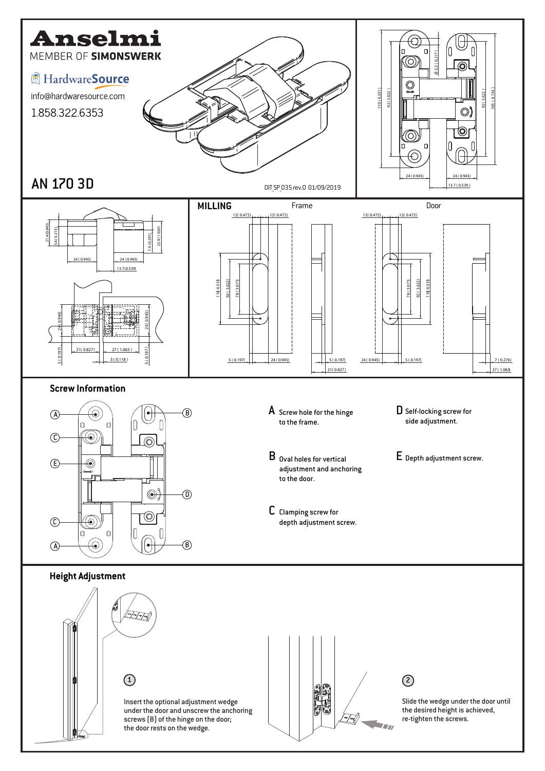